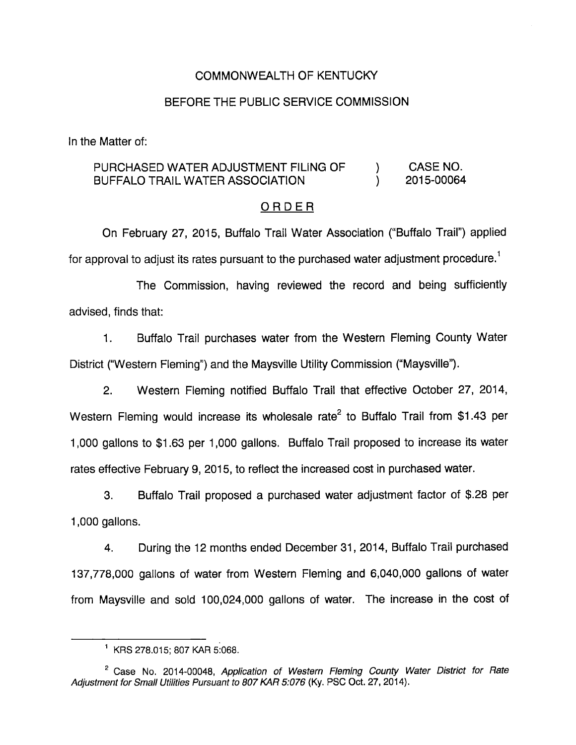## COMMONWEALTH OF KENTUCKY

### BEFORE THE PUBLIC SERVICE COMMISSION

In the Matter of:

## PURCHASED WATER ADJUSTMENT FILING OF ) CASE NO. BUFFALO TRAIL WATER ASSOCIATION ) 2015-00064

### ORDER

On February 27, 2015, Buffalo Trail Water Association ("Buffalo Trail") applied for approval to adjust its rates pursuant to the purchased water adjustment procedure.<sup>1</sup>

The Commission, having reviewed the record and being sufficiently advised, finds that:

1. Buffalo Trail purchases water from the Western Fleming County Water District ('Western Fleming") and the Maysville Utility Commission ("Maysville").

2. Western Fleming notified Buffalo Trail that effective October 27, 2014, Western Fleming would increase its wholesale rate<sup>2</sup> to Buffalo Trail from \$1.43 per 1,000 gallons to \$1.63 per 1,000 gallons. Buffalo Trail proposed to increase its water rates effective February 9, 2015, to reflect the increased cost in purchased water.

3. Buffalo Trail proposed a purchased water adjustment factor of \$.28 per 1,000 gallons.

4. During the 12 months ended December 31, 2014, Buffalo Trail purchased 137,778,000 gallons of water from Western Fleming and 6,040,000 gallons of water from Maysville and sold 100,024,000 gallons of water. The increase in the cost of

<sup>^</sup> KRS 278.015; 807 KAR 5:068.

 $2^$  Case No. 2014-00048, Application of Western Fleming County Water District for Rate Adjustment for Small Utilities Pursuant to 807 KAR 5:076 (Ky. PSC Oct. 27, 2014).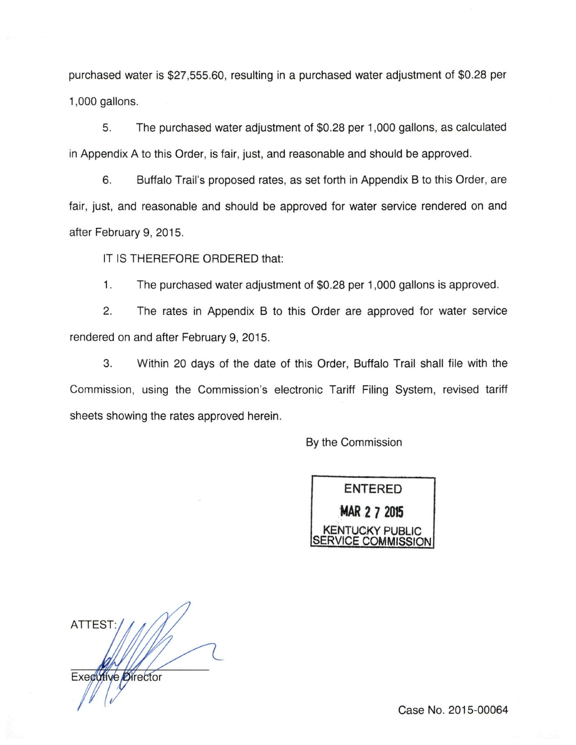purchased water is \$27,555.60, resulting in a purchased water adjustment of \$0.28 per 1,000 gallons.

5. The purchased water adjustment of \$0.28 per 1,000 gallons, as calculated in Appendix A to this Order, is fair, just, and reasonable and should be approved.

6. Buffalo Trail's proposed rates, as set forth in Appendix B to this Order, are fair, just, and reasonable and should be approved for water service rendered on and after February 9, 2015.

IT IS THEREFORE ORDERED that:

1. The purchased water adjustment of \$0.28 per 1,000 gallons is approved.

2. The rates in Appendix B to this Order are approved for water service rendered on and after February 9, 2015.

3. Within 20 days of the date of this Order, Buffalo Trail shall file with the Commission, using the Commission's electronic Tariff Filing System, revised tariff sheets showing the rates approved herein.

By the Commission

ENTERED MAR 2 7 2015 KENTUCKY PUBLIC COMMISSION

**ATTEST** Executive Director

Case No. 2015-00064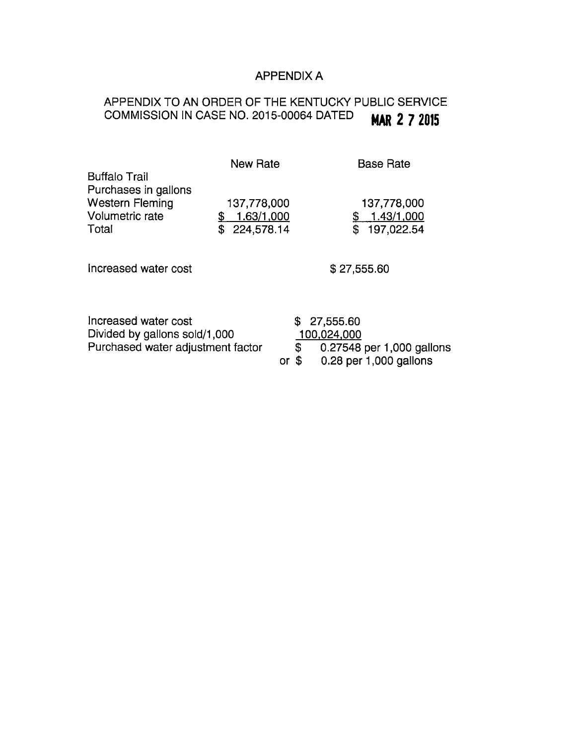## APPENDIX A

# APPENDIX TO AN ORDER OF THE KENTUCKY PUBLIC SERVICE COMMISSION IN CASE NO. 2015-00064 DATED **MAR 2 7 2015**

|                      | New Rate     | <b>Base Rate</b> |
|----------------------|--------------|------------------|
| <b>Buffalo Trail</b> |              |                  |
| Purchases in gallons |              |                  |
| Western Fleming      | 137,778,000  | 137,778,000      |
| Volumetric rate      | 1.63/1,000   | \$1.43/1,000     |
| Total                | \$224,578.14 | \$197,022.54     |
|                      |              |                  |

Increased water cost \$27,555.60

| Increased water cost              | \$ 27,555.60              |
|-----------------------------------|---------------------------|
| Divided by gallons sold/1,000     | 100,024,000               |
| Purchased water adjustment factor | 0.27548 per 1,000 gallons |

- $100,024,000$
- 
- or \$ 0.28 per 1,000 gallons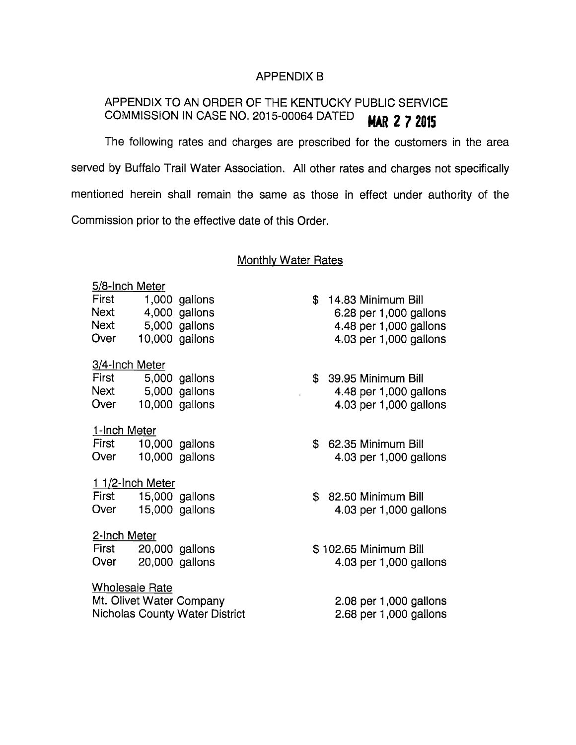## APPENDIX B

## APPENDIX TO AN ORDER OF THE KENTUCKY PUBLIC SERVICE COMMISSION IN CASE NO. 2015-00064 DATED MAR 2 7 2015

The following rates and charges are prescribed for the customers in the area served by Buffalo Trail Water Association. All other rates and charges not specifically mentioned herein shall remain the same as those in effect under authority of the Commission prior to the effective date of this Order.

### **Monthly Water Rates**

### 5/8-Inch Meter

| First       | 1,000 gallons  |
|-------------|----------------|
| <b>Next</b> | 4,000 gallons  |
| <b>Next</b> | 5,000 gallons  |
| Over        | 10,000 gallons |

#### 3/4-Inch Meter

| First | 5,000 gallons  |
|-------|----------------|
| Next  | 5,000 gallons  |
| Over  | 10,000 gallons |

### 1-Inch Meter

First 10,000 gallons Over 10,000 gallons

## 1 1/2-Inch Meter

First 15,000 gallons Over 15,000 gallons

## 2-Inch Meter

| First | 20,000 gallons |
|-------|----------------|
| Over  | 20,000 gallons |

Wholesale Rate Mt. Olivet Water Company Nicholas County Water District \$ 14.83 Minimum Bili 6.28 per 1,000 gallons 4.48 per 1,000 gallons 4.03 per 1,000 gallons

- \$ 39.95 Minimum Bill 4.48 per 1,000 gallons 4.03 per 1,000 gallons
- \$ 62.35 Minimum Bill 4.03 per 1,000 gallons
- \$ 82.50 Minimum Bill 4.03 per 1,000 gallons
- \$ 102.65 Minimum Bill 4.03 per 1,000 gallons

2.08 per 1,000 gallons 2.68 per 1,000 gallons